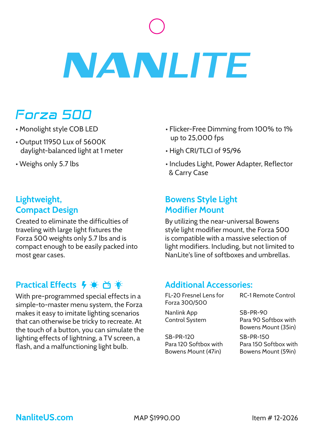# **NANLITE**

# Forza 500

- Monolight style COB LED
- Output 11950 Lux of 5600K daylight-balanced light at 1 meter
- Weighs only 5.7 lbs

## **Lightweight, Compact Design**

Created to eliminate the difficulties of traveling with large light fixtures the Forza 500 weights only 5.7 lbs and is compact enough to be easily packed into most gear cases.

# **Practical Effects 4 章 尚 爹**

With pre-programmed special effects in a simple-to-master menu system, the Forza makes it easy to imitate lighting scenarios that can otherwise be tricky to recreate. At the touch of a button, you can simulate the lighting effects of lightning, a TV screen, a flash, and a malfunctioning light bulb.

- Flicker-Free Dimming from 100% to 1% up to 25,000 fps
- High CRI/TLCI of 95/96
- Includes Light, Power Adapter, Reflector & Carry Case

## **Bowens Style Light Modifier Mount**

By utilizing the near-universal Bowens style light modifier mount, the Forza 500 is compatible with a massive selection of light modifiers. Including, but not limited to NanLite's line of softboxes and umbrellas.

#### **Additional Accessories:**

FL-20 Fresnel Lens for Forza 300/500

Nanlink App Control System

SB-PR-120 Para 120 Softbox with Bowens Mount (47in)

RC-1 Remote Control

SB-PR-90 Para 90 Softbox with Bowens Mount (35in)

SB-PR-150 Para 150 Softbox with Bowens Mount (59in)